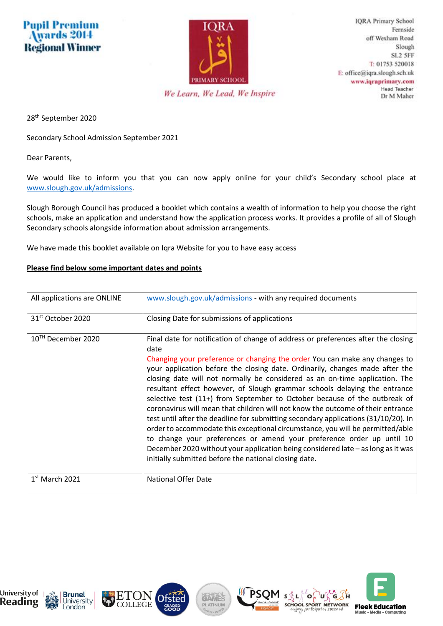## **Pupil Premium** Awards 2014 **Regional Winner**



**IQRA Primary School** Fernside off Wexham Road Slough SL<sub>2</sub> 5FF T: 01753 520018 E: office@iqra.slough.sch.uk www.iqraprimary.com **Head Teacher** Dr M Maher

We Learn, We Lead, We Inspire

28th September 2020

Secondary School Admission September 2021

Dear Parents,

We would like to inform you that you can now apply online for your child's Secondary school place at [www.slough.gov.uk/admissions.](http://www.slough.gov.uk/admissions)

Slough Borough Council has produced a booklet which contains a wealth of information to help you choose the right schools, make an application and understand how the application process works. It provides a profile of all of Slough Secondary schools alongside information about admission arrangements.

We have made this booklet available on Iqra Website for you to have easy access

## **Please find below some important dates and points**

| All applications are ONLINE   | www.slough.gov.uk/admissions - with any required documents                                                                                                                                                                                                                                                                                                                                                                                                                                                                                                                                                                                                                                                                                                                                                                                                                                                                                                                        |
|-------------------------------|-----------------------------------------------------------------------------------------------------------------------------------------------------------------------------------------------------------------------------------------------------------------------------------------------------------------------------------------------------------------------------------------------------------------------------------------------------------------------------------------------------------------------------------------------------------------------------------------------------------------------------------------------------------------------------------------------------------------------------------------------------------------------------------------------------------------------------------------------------------------------------------------------------------------------------------------------------------------------------------|
| 31 <sup>st</sup> October 2020 | Closing Date for submissions of applications                                                                                                                                                                                                                                                                                                                                                                                                                                                                                                                                                                                                                                                                                                                                                                                                                                                                                                                                      |
| $10^{1H}$ December 2020       | Final date for notification of change of address or preferences after the closing<br>date<br>Changing your preference or changing the order You can make any changes to<br>your application before the closing date. Ordinarily, changes made after the<br>closing date will not normally be considered as an on-time application. The<br>resultant effect however, of Slough grammar schools delaying the entrance<br>selective test (11+) from September to October because of the outbreak of<br>coronavirus will mean that children will not know the outcome of their entrance<br>test until after the deadline for submitting secondary applications (31/10/20). In<br>order to accommodate this exceptional circumstance, you will be permitted/able<br>to change your preferences or amend your preference order up until 10<br>December 2020 without your application being considered late – as long as it was<br>initially submitted before the national closing date. |
| $1st$ March 2021              | National Offer Date                                                                                                                                                                                                                                                                                                                                                                                                                                                                                                                                                                                                                                                                                                                                                                                                                                                                                                                                                               |



**Brunel** 

London

University







SQL

Ö.